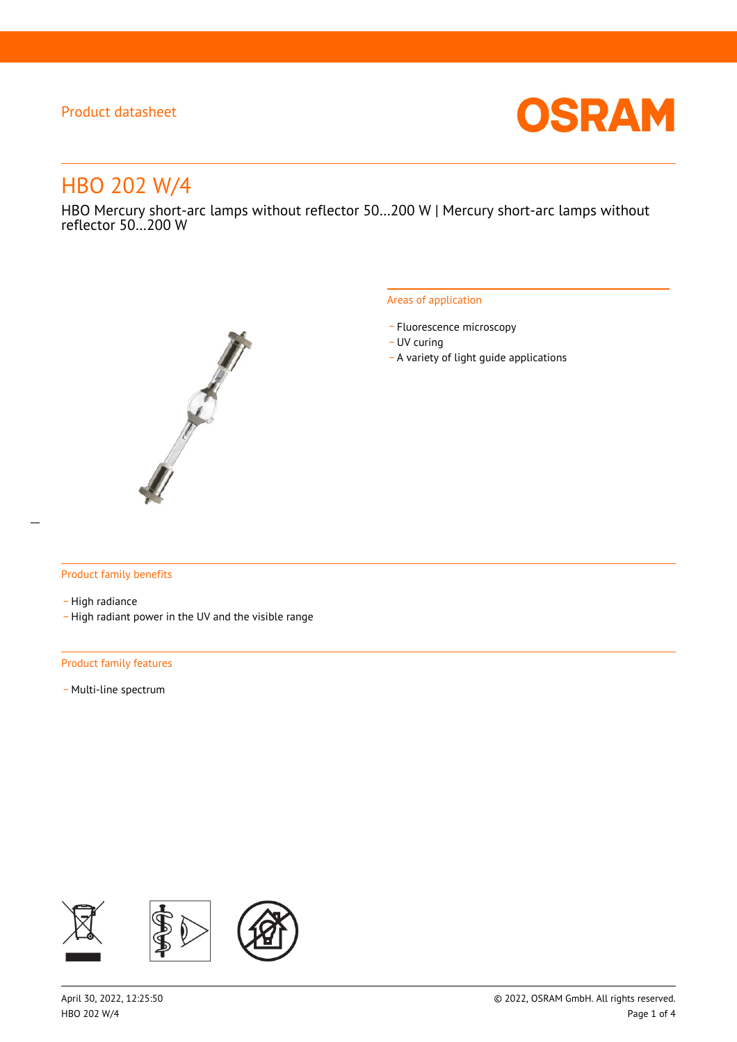

# HBO 202 W/4

HBO Mercury short-arc lamps without reflector 50…200 W | Mercury short-arc lamps without reflector 50…200 W



#### Areas of application

- Fluorescence microscopy
- UV curing
- \_ A variety of light guide applications

### Product family benefits

- High radiance
- \_ High radiant power in the UV and the visible range

#### Product family features

- Multi-line spectrum

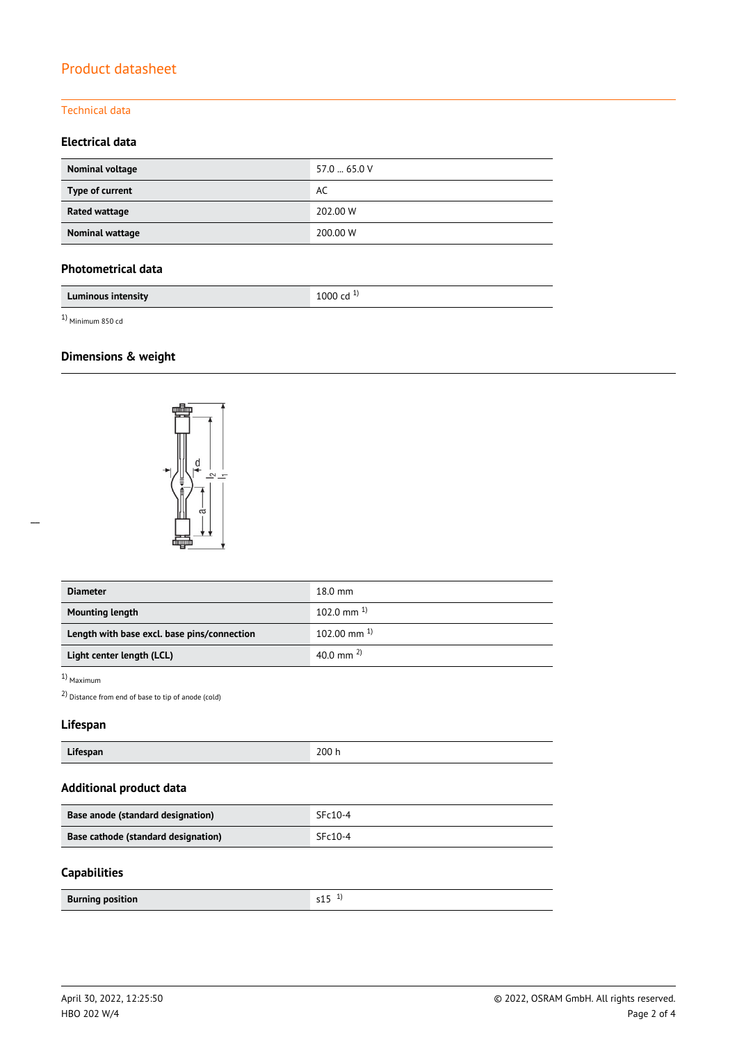### Technical data

### **Electrical data**

| Nominal voltage | 57.0  65.0 V |
|-----------------|--------------|
| Type of current | AC           |
| Rated wattage   | 202.00 W     |
| Nominal wattage | 200.00 W     |

### **Photometrical data**

| Luminous intensity | L000 cd<br><b>.</b> |
|--------------------|---------------------|

1) Minimum 850 cd

### **Dimensions & weight**



| <b>Diameter</b>                             | $18.0$ mm          |  |
|---------------------------------------------|--------------------|--|
| <b>Mounting length</b>                      | $102.0$ mm $^{1}$  |  |
| Length with base excl. base pins/connection | $102.00$ mm $^{1}$ |  |
| Light center length (LCL)                   | 40.0 mm $^{2}$     |  |

### 1) Maximum

2) Distance from end of base to tip of anode (cold)

### **Lifespan**

| 200 h<br>Lifespan |  |
|-------------------|--|
|-------------------|--|

### **Additional product data**

| Base anode (standard designation)   | $SFc10-4$ |
|-------------------------------------|-----------|
| Base cathode (standard designation) | $SFC10-4$ |

### **Capabilities**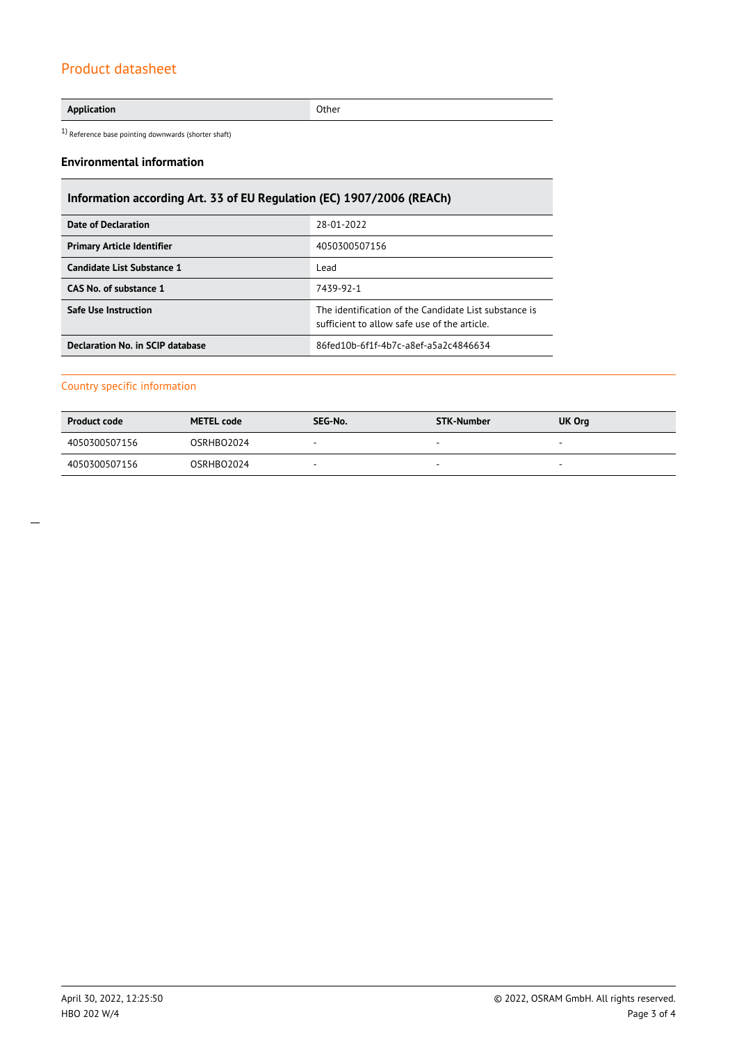**Application** Other

 $1)$  Reference base pointing downwards (shorter shaft)

#### **Environmental information**

# **Information according Art. 33 of EU Regulation (EC) 1907/2006 (REACh)**

| Date of Declaration               | 28-01-2022                                                                                            |
|-----------------------------------|-------------------------------------------------------------------------------------------------------|
| <b>Primary Article Identifier</b> | 4050300507156                                                                                         |
| Candidate List Substance 1        | Lead                                                                                                  |
| CAS No. of substance 1            | 7439-92-1                                                                                             |
| <b>Safe Use Instruction</b>       | The identification of the Candidate List substance is<br>sufficient to allow safe use of the article. |
| Declaration No. in SCIP database  | 86fed10b-6f1f-4b7c-a8ef-a5a2c4846634                                                                  |

### Country specific information

| <b>Product code</b> | <b>METEL code</b> | SEG-No. | STK-Number | UK Org |
|---------------------|-------------------|---------|------------|--------|
| 4050300507156       | OSRHBO2024        | $\sim$  |            |        |
| 4050300507156       | OSRHBO2024        | -       |            | -      |